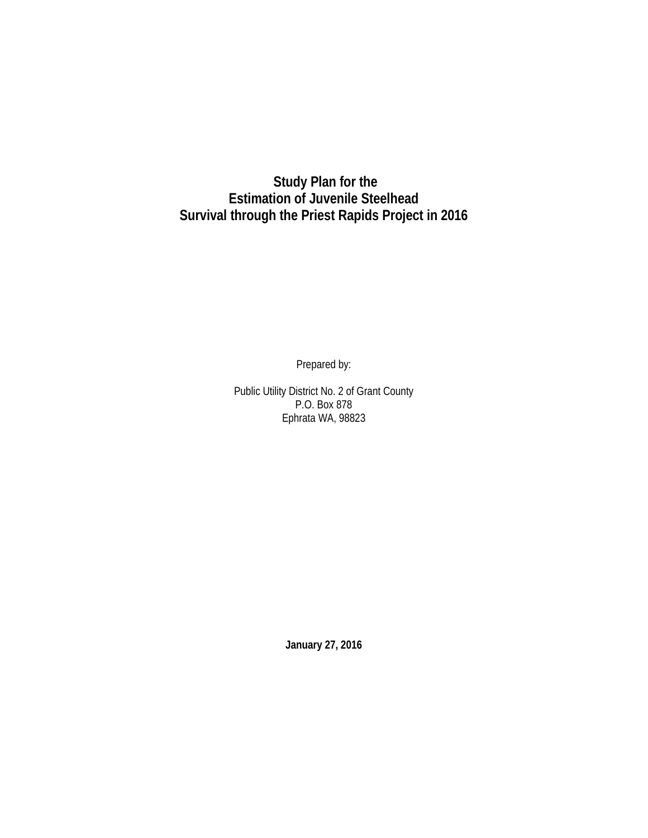**Study Plan for the Estimation of Juvenile Steelhead Survival through the Priest Rapids Project in 2016**

Prepared by:

Public Utility District No. 2 of Grant County P.O. Box 878 Ephrata WA, 98823

**January 27, 2016**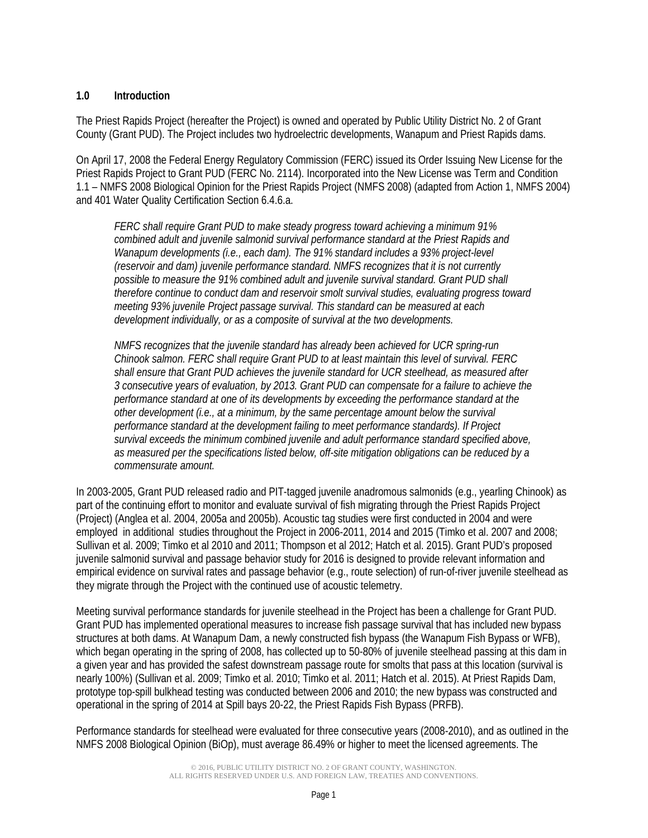### **1.0 Introduction**

The Priest Rapids Project (hereafter the Project) is owned and operated by Public Utility District No. 2 of Grant County (Grant PUD). The Project includes two hydroelectric developments, Wanapum and Priest Rapids dams.

On April 17, 2008 the Federal Energy Regulatory Commission (FERC) issued its Order Issuing New License for the Priest Rapids Project to Grant PUD (FERC No. 2114). Incorporated into the New License was Term and Condition 1.1 – NMFS 2008 Biological Opinion for the Priest Rapids Project (NMFS 2008) (adapted from Action 1, NMFS 2004) and 401 Water Quality Certification Section 6.4.6.a.

*FERC shall require Grant PUD to make steady progress toward achieving a minimum 91% combined adult and juvenile salmonid survival performance standard at the Priest Rapids and Wanapum developments (i.e., each dam). The 91% standard includes a 93% project-level (reservoir and dam) juvenile performance standard. NMFS recognizes that it is not currently possible to measure the 91% combined adult and juvenile survival standard. Grant PUD shall therefore continue to conduct dam and reservoir smolt survival studies, evaluating progress toward meeting 93% juvenile Project passage survival. This standard can be measured at each development individually, or as a composite of survival at the two developments.*

*NMFS recognizes that the juvenile standard has already been achieved for UCR spring-run Chinook salmon. FERC shall require Grant PUD to at least maintain this level of survival. FERC shall ensure that Grant PUD achieves the juvenile standard for UCR steelhead, as measured after 3 consecutive years of evaluation, by 2013. Grant PUD can compensate for a failure to achieve the performance standard at one of its developments by exceeding the performance standard at the other development (i.e., at a minimum, by the same percentage amount below the survival performance standard at the development failing to meet performance standards). If Project survival exceeds the minimum combined juvenile and adult performance standard specified above, as measured per the specifications listed below, off-site mitigation obligations can be reduced by a commensurate amount.*

In 2003-2005, Grant PUD released radio and PIT-tagged juvenile anadromous salmonids (e.g., yearling Chinook) as part of the continuing effort to monitor and evaluate survival of fish migrating through the Priest Rapids Project (Project) (Anglea et al. 2004, 2005a and 2005b). Acoustic tag studies were first conducted in 2004 and were employed in additional studies throughout the Project in 2006-2011, 2014 and 2015 (Timko et al. 2007 and 2008; Sullivan et al. 2009; Timko et al 2010 and 2011; Thompson et al 2012; Hatch et al. 2015). Grant PUD's proposed juvenile salmonid survival and passage behavior study for 2016 is designed to provide relevant information and empirical evidence on survival rates and passage behavior (e.g., route selection) of run-of-river juvenile steelhead as they migrate through the Project with the continued use of acoustic telemetry.

Meeting survival performance standards for juvenile steelhead in the Project has been a challenge for Grant PUD. Grant PUD has implemented operational measures to increase fish passage survival that has included new bypass structures at both dams. At Wanapum Dam, a newly constructed fish bypass (the Wanapum Fish Bypass or WFB), which began operating in the spring of 2008, has collected up to 50-80% of juvenile steelhead passing at this dam in a given year and has provided the safest downstream passage route for smolts that pass at this location (survival is nearly 100%) (Sullivan et al. 2009; Timko et al. 2010; Timko et al. 2011; Hatch et al. 2015). At Priest Rapids Dam, prototype top-spill bulkhead testing was conducted between 2006 and 2010; the new bypass was constructed and operational in the spring of 2014 at Spill bays 20-22, the Priest Rapids Fish Bypass (PRFB).

Performance standards for steelhead were evaluated for three consecutive years (2008-2010), and as outlined in the NMFS 2008 Biological Opinion (BiOp), must average 86.49% or higher to meet the licensed agreements. The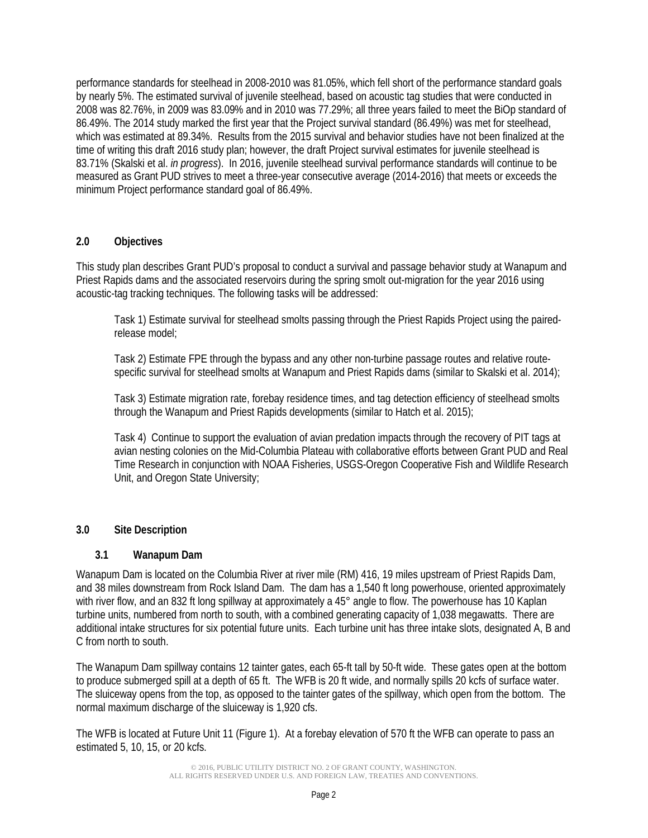performance standards for steelhead in 2008-2010 was 81.05%, which fell short of the performance standard goals by nearly 5%. The estimated survival of juvenile steelhead, based on acoustic tag studies that were conducted in 2008 was 82.76%, in 2009 was 83.09% and in 2010 was 77.29%; all three years failed to meet the BiOp standard of 86.49%. The 2014 study marked the first year that the Project survival standard (86.49%) was met for steelhead, which was estimated at 89.34%. Results from the 2015 survival and behavior studies have not been finalized at the time of writing this draft 2016 study plan; however, the draft Project survival estimates for juvenile steelhead is 83.71% (Skalski et al. *in progress*). In 2016, juvenile steelhead survival performance standards will continue to be measured as Grant PUD strives to meet a three-year consecutive average (2014-2016) that meets or exceeds the minimum Project performance standard goal of 86.49%.

#### **2.0 Objectives**

This study plan describes Grant PUD's proposal to conduct a survival and passage behavior study at Wanapum and Priest Rapids dams and the associated reservoirs during the spring smolt out-migration for the year 2016 using acoustic-tag tracking techniques. The following tasks will be addressed:

Task 1) Estimate survival for steelhead smolts passing through the Priest Rapids Project using the pairedrelease model;

Task 2) Estimate FPE through the bypass and any other non-turbine passage routes and relative routespecific survival for steelhead smolts at Wanapum and Priest Rapids dams (similar to Skalski et al. 2014);

Task 3) Estimate migration rate, forebay residence times, and tag detection efficiency of steelhead smolts through the Wanapum and Priest Rapids developments (similar to Hatch et al. 2015);

Task 4) Continue to support the evaluation of avian predation impacts through the recovery of PIT tags at avian nesting colonies on the Mid-Columbia Plateau with collaborative efforts between Grant PUD and Real Time Research in conjunction with NOAA Fisheries, USGS-Oregon Cooperative Fish and Wildlife Research Unit, and Oregon State University;

### **3.0 Site Description**

### **3.1 Wanapum Dam**

Wanapum Dam is located on the Columbia River at river mile (RM) 416, 19 miles upstream of Priest Rapids Dam, and 38 miles downstream from Rock Island Dam. The dam has a 1,540 ft long powerhouse, oriented approximately with river flow, and an 832 ft long spillway at approximately a 45° angle to flow. The powerhouse has 10 Kaplan turbine units, numbered from north to south, with a combined generating capacity of 1,038 megawatts. There are additional intake structures for six potential future units. Each turbine unit has three intake slots, designated A, B and C from north to south.

The Wanapum Dam spillway contains 12 tainter gates, each 65-ft tall by 50-ft wide. These gates open at the bottom to produce submerged spill at a depth of 65 ft. The WFB is 20 ft wide, and normally spills 20 kcfs of surface water. The sluiceway opens from the top, as opposed to the tainter gates of the spillway, which open from the bottom. The normal maximum discharge of the sluiceway is 1,920 cfs.

The WFB is located at Future Unit 11 [\(Figure 1\)](#page-3-0). At a forebay elevation of 570 ft the WFB can operate to pass an estimated 5, 10, 15, or 20 kcfs.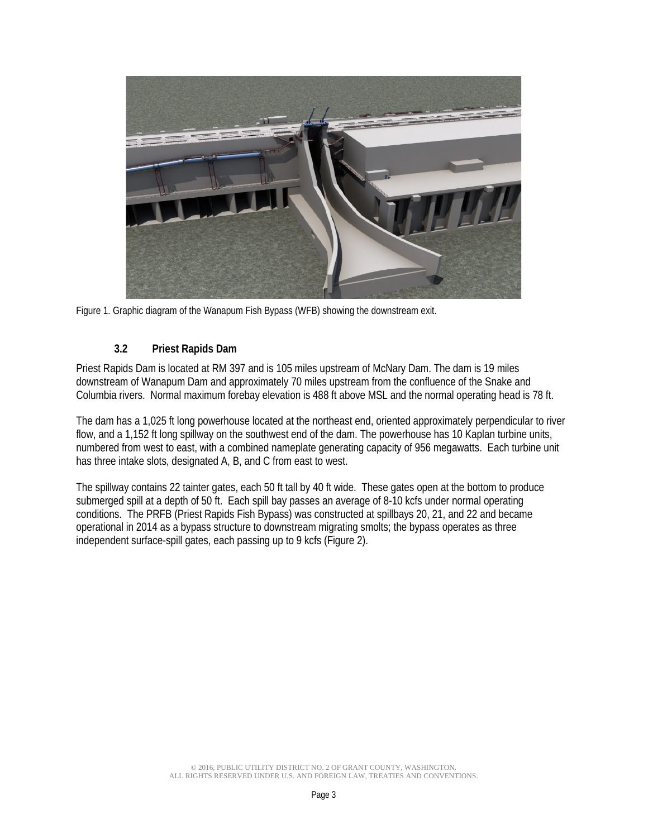

Figure 1. Graphic diagram of the Wanapum Fish Bypass (WFB) showing the downstream exit.

## <span id="page-3-0"></span>**3.2 Priest Rapids Dam**

Priest Rapids Dam is located at RM 397 and is 105 miles upstream of McNary Dam. The dam is 19 miles downstream of Wanapum Dam and approximately 70 miles upstream from the confluence of the Snake and Columbia rivers. Normal maximum forebay elevation is 488 ft above MSL and the normal operating head is 78 ft.

The dam has a 1,025 ft long powerhouse located at the northeast end, oriented approximately perpendicular to river flow, and a 1,152 ft long spillway on the southwest end of the dam. The powerhouse has 10 Kaplan turbine units, numbered from west to east, with a combined nameplate generating capacity of 956 megawatts. Each turbine unit has three intake slots, designated A, B, and C from east to west.

The spillway contains 22 tainter gates, each 50 ft tall by 40 ft wide. These gates open at the bottom to produce submerged spill at a depth of 50 ft. Each spill bay passes an average of 8-10 kcfs under normal operating conditions. The PRFB (Priest Rapids Fish Bypass) was constructed at spillbays 20, 21, and 22 and became operational in 2014 as a bypass structure to downstream migrating smolts; the bypass operates as three independent surface-spill gates, each passing up to 9 kcfs [\(Figure 2\)](#page-4-0).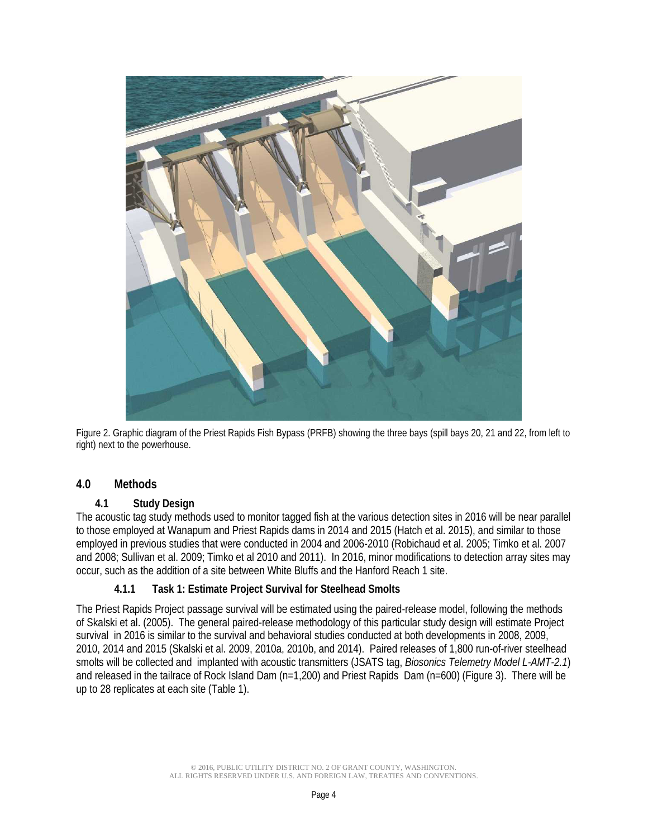

<span id="page-4-0"></span>Figure 2. Graphic diagram of the Priest Rapids Fish Bypass (PRFB) showing the three bays (spill bays 20, 21 and 22, from left to right) next to the powerhouse.

# **4.0 Methods**

### **4.1 Study Design**

The acoustic tag study methods used to monitor tagged fish at the various detection sites in 2016 will be near parallel to those employed at Wanapum and Priest Rapids dams in 2014 and 2015 (Hatch et al. 2015), and similar to those employed in previous studies that were conducted in 2004 and 2006-2010 (Robichaud et al. 2005; Timko et al. 2007 and 2008; Sullivan et al. 2009; Timko et al 2010 and 2011). In 2016, minor modifications to detection array sites may occur, such as the addition of a site between White Bluffs and the Hanford Reach 1 site.

### **4.1.1 Task 1: Estimate Project Survival for Steelhead Smolts**

The Priest Rapids Project passage survival will be estimated using the paired-release model, following the methods of Skalski et al. (2005). The general paired-release methodology of this particular study design will estimate Project survival in 2016 is similar to the survival and behavioral studies conducted at both developments in 2008, 2009, 2010, 2014 and 2015 (Skalski et al. 2009, 2010a, 2010b, and 2014). Paired releases of 1,800 run-of-river steelhead smolts will be collected and implanted with acoustic transmitters (JSATS tag, *Biosonics Telemetry Model L-AMT-2.1*) and released in the tailrace of Rock Island Dam (n=1,200) and Priest Rapids Dam (n=600) [\(Figure 3\)](#page-5-0). There will be up to 28 replicates at each site [\(Table 1\)](#page-6-0).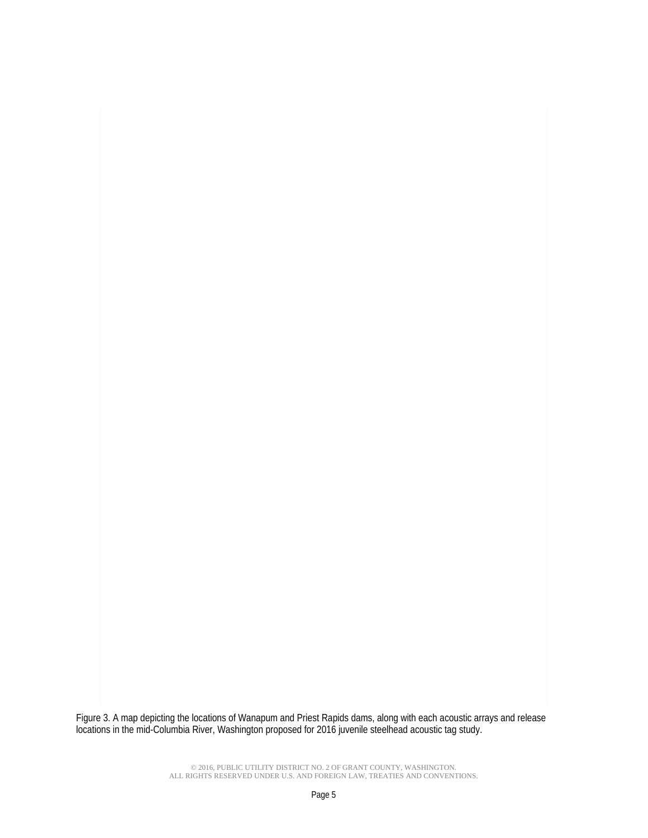<span id="page-5-0"></span>ea<br>:ou Figure 3. A map depicting the locations of Wanapum and Priest Rapids dams, along with each acoustic arrays and release locations in the mid-Columbia River, Washington proposed for 2016 juvenile steelhead acoustic tag study.

> © 2016, PUBLIC UTILITY DISTRICT NO. 2 OF GRANT COUNTY, WASHINGTON. ALL RIGHTS RESERVED UNDER U.S. AND FOREIGN LAW, TREATIES AND CONVENTIONS.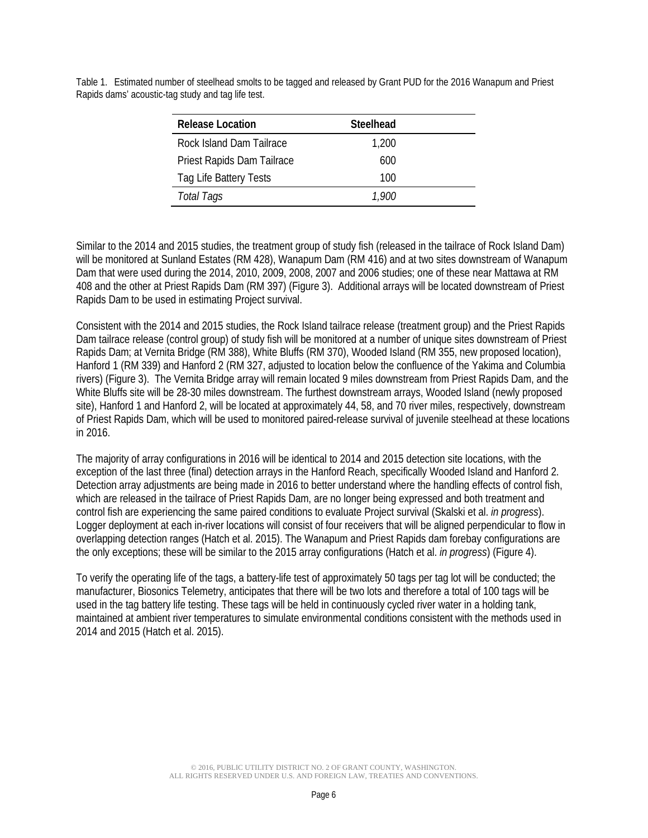| <b>Release Location</b>    | Steelhead |  |
|----------------------------|-----------|--|
| Rock Island Dam Tailrace   | 1,200     |  |
| Priest Rapids Dam Tailrace | 600       |  |
| Tag Life Battery Tests     | 100       |  |
| Total Tags                 | 1.900     |  |
|                            |           |  |

<span id="page-6-0"></span>Table 1. Estimated number of steelhead smolts to be tagged and released by Grant PUD for the 2016 Wanapum and Priest Rapids dams' acoustic-tag study and tag life test.

Similar to the 2014 and 2015 studies, the treatment group of study fish (released in the tailrace of Rock Island Dam) will be monitored at Sunland Estates (RM 428), Wanapum Dam (RM 416) and at two sites downstream of Wanapum Dam that were used during the 2014, 2010, 2009, 2008, 2007 and 2006 studies; one of these near Mattawa at RM 408 and the other at Priest Rapids Dam (RM 397) [\(Figure 3\)](#page-5-0). Additional arrays will be located downstream of Priest Rapids Dam to be used in estimating Project survival.

Consistent with the 2014 and 2015 studies, the Rock Island tailrace release (treatment group) and the Priest Rapids Dam tailrace release (control group) of study fish will be monitored at a number of unique sites downstream of Priest Rapids Dam; at Vernita Bridge (RM 388), White Bluffs (RM 370), Wooded Island (RM 355, new proposed location), Hanford 1 (RM 339) and Hanford 2 (RM 327, adjusted to location below the confluence of the Yakima and Columbia rivers) [\(Figure 3\)](#page-5-0). The Vernita Bridge array will remain located 9 miles downstream from Priest Rapids Dam, and the White Bluffs site will be 28-30 miles downstream. The furthest downstream arrays, Wooded Island (newly proposed site), Hanford 1 and Hanford 2, will be located at approximately 44, 58, and 70 river miles, respectively, downstream of Priest Rapids Dam, which will be used to monitored paired-release survival of juvenile steelhead at these locations in 2016.

The majority of array configurations in 2016 will be identical to 2014 and 2015 detection site locations, with the exception of the last three (final) detection arrays in the Hanford Reach, specifically Wooded Island and Hanford 2. Detection array adjustments are being made in 2016 to better understand where the handling effects of control fish, which are released in the tailrace of Priest Rapids Dam, are no longer being expressed and both treatment and control fish are experiencing the same paired conditions to evaluate Project survival (Skalski et al. *in progress*). Logger deployment at each in-river locations will consist of four receivers that will be aligned perpendicular to flow in overlapping detection ranges (Hatch et al. 2015). The Wanapum and Priest Rapids dam forebay configurations are the only exceptions; these will be similar to the 2015 array configurations (Hatch et al. *in progress*) [\(Figure 4\)](#page-7-0).

To verify the operating life of the tags, a battery-life test of approximately 50 tags per tag lot will be conducted; the manufacturer, Biosonics Telemetry, anticipates that there will be two lots and therefore a total of 100 tags will be used in the tag battery life testing. These tags will be held in continuously cycled river water in a holding tank, maintained at ambient river temperatures to simulate environmental conditions consistent with the methods used in 2014 and 2015 (Hatch et al. 2015).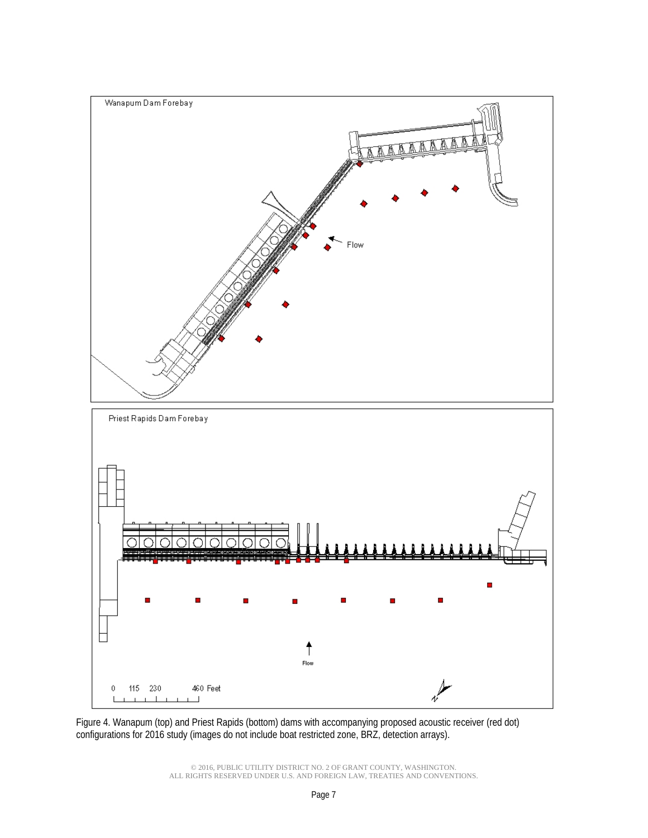

<span id="page-7-0"></span>Figure 4. Wanapum (top) and Priest Rapids (bottom) dams with accompanying proposed acoustic receiver (red dot) configurations for 2016 study (images do not include boat restricted zone, BRZ, detection arrays).

> © 2016, PUBLIC UTILITY DISTRICT NO. 2 OF GRANT COUNTY, WASHINGTON. ALL RIGHTS RESERVED UNDER U.S. AND FOREIGN LAW, TREATIES AND CONVENTIONS.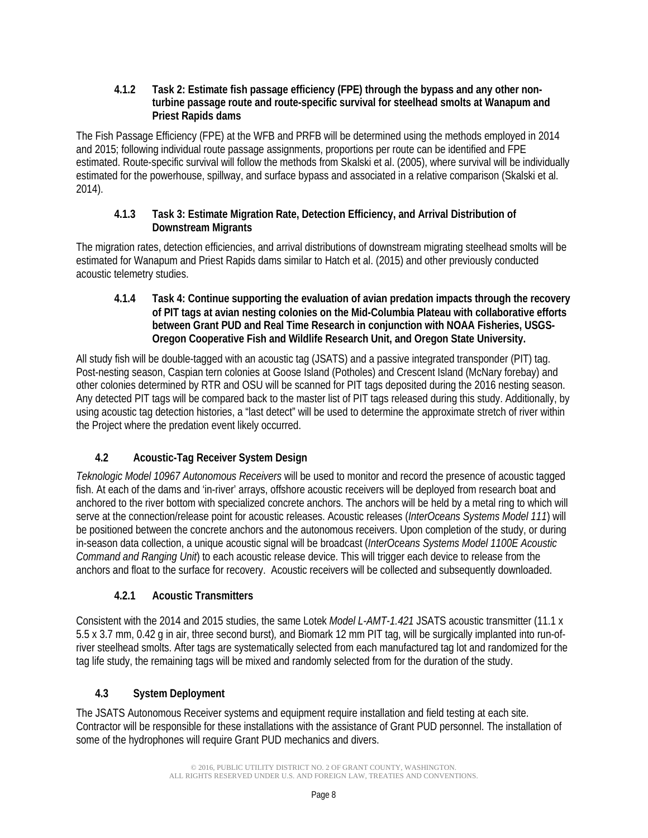#### **4.1.2 Task 2: Estimate fish passage efficiency (FPE) through the bypass and any other nonturbine passage route and route-specific survival for steelhead smolts at Wanapum and Priest Rapids dams**

The Fish Passage Efficiency (FPE) at the WFB and PRFB will be determined using the methods employed in 2014 and 2015; following individual route passage assignments, proportions per route can be identified and FPE estimated. Route-specific survival will follow the methods from Skalski et al. (2005), where survival will be individually estimated for the powerhouse, spillway, and surface bypass and associated in a relative comparison (Skalski et al. 2014).

## **4.1.3 Task 3: Estimate Migration Rate, Detection Efficiency, and Arrival Distribution of Downstream Migrants**

The migration rates, detection efficiencies, and arrival distributions of downstream migrating steelhead smolts will be estimated for Wanapum and Priest Rapids dams similar to Hatch et al. (2015) and other previously conducted acoustic telemetry studies.

**4.1.4 Task 4: Continue supporting the evaluation of avian predation impacts through the recovery of PIT tags at avian nesting colonies on the Mid-Columbia Plateau with collaborative efforts between Grant PUD and Real Time Research in conjunction with NOAA Fisheries, USGS-Oregon Cooperative Fish and Wildlife Research Unit, and Oregon State University.**

All study fish will be double-tagged with an acoustic tag (JSATS) and a passive integrated transponder (PIT) tag. Post-nesting season, Caspian tern colonies at Goose Island (Potholes) and Crescent Island (McNary forebay) and other colonies determined by RTR and OSU will be scanned for PIT tags deposited during the 2016 nesting season. Any detected PIT tags will be compared back to the master list of PIT tags released during this study. Additionally, by using acoustic tag detection histories, a "last detect" will be used to determine the approximate stretch of river within the Project where the predation event likely occurred.

# **4.2 Acoustic-Tag Receiver System Design**

*Teknologic Model 10967 Autonomous Receivers* will be used to monitor and record the presence of acoustic tagged fish. At each of the dams and 'in-river' arrays, offshore acoustic receivers will be deployed from research boat and anchored to the river bottom with specialized concrete anchors. The anchors will be held by a metal ring to which will serve at the connection/release point for acoustic releases. Acoustic releases (*InterOceans Systems Model 111*) will be positioned between the concrete anchors and the autonomous receivers. Upon completion of the study, or during in-season data collection, a unique acoustic signal will be broadcast (*InterOceans Systems Model 1100E Acoustic Command and Ranging Unit*) to each acoustic release device. This will trigger each device to release from the anchors and float to the surface for recovery. Acoustic receivers will be collected and subsequently downloaded.

# **4.2.1 Acoustic Transmitters**

Consistent with the 2014 and 2015 studies, the same Lotek *Model L-AMT-1.421* JSATS acoustic transmitter (11.1 x 5.5 x 3.7 mm, 0.42 g in air, three second burst)*,* and Biomark 12 mm PIT tag, will be surgically implanted into run-ofriver steelhead smolts. After tags are systematically selected from each manufactured tag lot and randomized for the tag life study, the remaining tags will be mixed and randomly selected from for the duration of the study.

# **4.3 System Deployment**

The JSATS Autonomous Receiver systems and equipment require installation and field testing at each site. Contractor will be responsible for these installations with the assistance of Grant PUD personnel. The installation of some of the hydrophones will require Grant PUD mechanics and divers.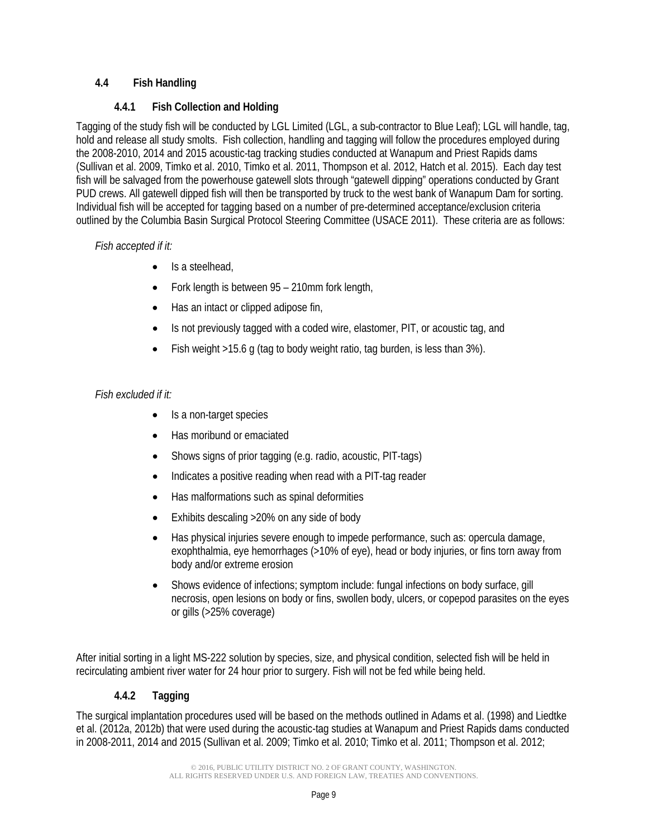## **4.4 Fish Handling**

## **4.4.1 Fish Collection and Holding**

Tagging of the study fish will be conducted by LGL Limited (LGL, a sub-contractor to Blue Leaf); LGL will handle, tag, hold and release all study smolts. Fish collection, handling and tagging will follow the procedures employed during the 2008-2010, 2014 and 2015 acoustic-tag tracking studies conducted at Wanapum and Priest Rapids dams (Sullivan et al. 2009, Timko et al. 2010, Timko et al. 2011, Thompson et al. 2012, Hatch et al. 2015). Each day test fish will be salvaged from the powerhouse gatewell slots through "gatewell dipping" operations conducted by Grant PUD crews. All gatewell dipped fish will then be transported by truck to the west bank of Wanapum Dam for sorting. Individual fish will be accepted for tagging based on a number of pre-determined acceptance/exclusion criteria outlined by the Columbia Basin Surgical Protocol Steering Committee (USACE 2011). These criteria are as follows:

## *Fish accepted if it:*

- Is a steelhead,
- Fork length is between 95 210mm fork length,
- Has an intact or clipped adipose fin,
- Is not previously tagged with a coded wire, elastomer, PIT, or acoustic tag, and
- Fish weight >15.6 g (tag to body weight ratio, tag burden, is less than 3%).

# *Fish excluded if it:*

- Is a non-target species
- Has moribund or emaciated
- Shows signs of prior tagging (e.g. radio, acoustic, PIT-tags)
- Indicates a positive reading when read with a PIT-tag reader
- Has malformations such as spinal deformities
- Exhibits descaling >20% on any side of body
- Has physical injuries severe enough to impede performance, such as: opercula damage, exophthalmia, eye hemorrhages (>10% of eye), head or body injuries, or fins torn away from body and/or extreme erosion
- Shows evidence of infections; symptom include: fungal infections on body surface, gill necrosis, open lesions on body or fins, swollen body, ulcers, or copepod parasites on the eyes or gills (>25% coverage)

After initial sorting in a light MS-222 solution by species, size, and physical condition, selected fish will be held in recirculating ambient river water for 24 hour prior to surgery. Fish will not be fed while being held.

# **4.4.2 Tagging**

The surgical implantation procedures used will be based on the methods outlined in Adams et al. (1998) and Liedtke et al. (2012a, 2012b) that were used during the acoustic-tag studies at Wanapum and Priest Rapids dams conducted in 2008-2011, 2014 and 2015 (Sullivan et al. 2009; Timko et al. 2010; Timko et al. 2011; Thompson et al. 2012;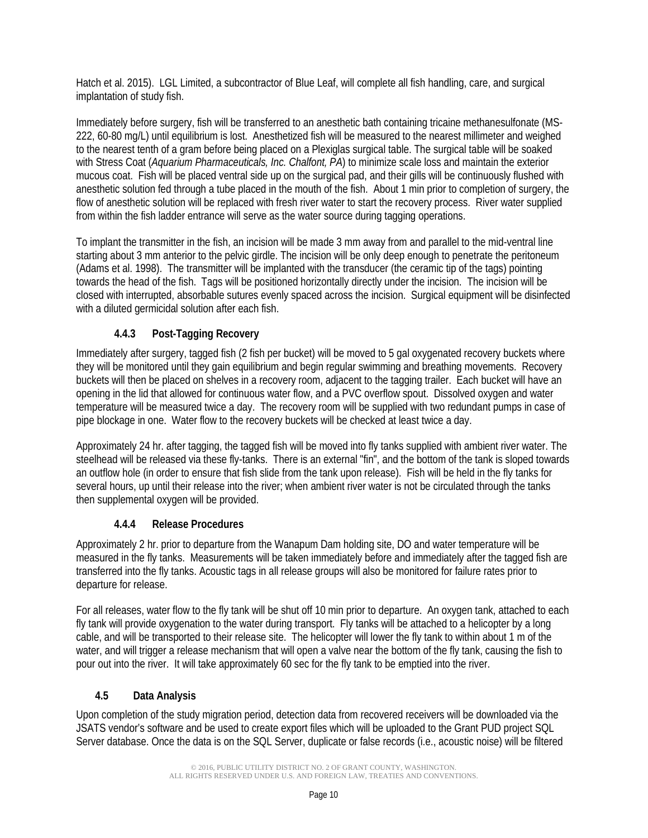Hatch et al. 2015). LGL Limited, a subcontractor of Blue Leaf, will complete all fish handling, care, and surgical implantation of study fish.

Immediately before surgery, fish will be transferred to an anesthetic bath containing tricaine methanesulfonate (MS-222, 60-80 mg/L) until equilibrium is lost. Anesthetized fish will be measured to the nearest millimeter and weighed to the nearest tenth of a gram before being placed on a Plexiglas surgical table. The surgical table will be soaked with Stress Coat (*Aquarium Pharmaceuticals, Inc. Chalfont, PA*) to minimize scale loss and maintain the exterior mucous coat. Fish will be placed ventral side up on the surgical pad, and their gills will be continuously flushed with anesthetic solution fed through a tube placed in the mouth of the fish. About 1 min prior to completion of surgery, the flow of anesthetic solution will be replaced with fresh river water to start the recovery process. River water supplied from within the fish ladder entrance will serve as the water source during tagging operations.

To implant the transmitter in the fish, an incision will be made 3 mm away from and parallel to the mid-ventral line starting about 3 mm anterior to the pelvic girdle. The incision will be only deep enough to penetrate the peritoneum (Adams et al. 1998). The transmitter will be implanted with the transducer (the ceramic tip of the tags) pointing towards the head of the fish. Tags will be positioned horizontally directly under the incision. The incision will be closed with interrupted, absorbable sutures evenly spaced across the incision. Surgical equipment will be disinfected with a diluted germicidal solution after each fish.

# **4.4.3 Post-Tagging Recovery**

Immediately after surgery, tagged fish (2 fish per bucket) will be moved to 5 gal oxygenated recovery buckets where they will be monitored until they gain equilibrium and begin regular swimming and breathing movements. Recovery buckets will then be placed on shelves in a recovery room, adjacent to the tagging trailer. Each bucket will have an opening in the lid that allowed for continuous water flow, and a PVC overflow spout. Dissolved oxygen and water temperature will be measured twice a day. The recovery room will be supplied with two redundant pumps in case of pipe blockage in one. Water flow to the recovery buckets will be checked at least twice a day.

Approximately 24 hr. after tagging, the tagged fish will be moved into fly tanks supplied with ambient river water. The steelhead will be released via these fly-tanks. There is an external "fin", and the bottom of the tank is sloped towards an outflow hole (in order to ensure that fish slide from the tank upon release). Fish will be held in the fly tanks for several hours, up until their release into the river; when ambient river water is not be circulated through the tanks then supplemental oxygen will be provided.

# **4.4.4 Release Procedures**

Approximately 2 hr. prior to departure from the Wanapum Dam holding site, DO and water temperature will be measured in the fly tanks. Measurements will be taken immediately before and immediately after the tagged fish are transferred into the fly tanks. Acoustic tags in all release groups will also be monitored for failure rates prior to departure for release.

For all releases, water flow to the fly tank will be shut off 10 min prior to departure. An oxygen tank, attached to each fly tank will provide oxygenation to the water during transport. Fly tanks will be attached to a helicopter by a long cable, and will be transported to their release site. The helicopter will lower the fly tank to within about 1 m of the water, and will trigger a release mechanism that will open a valve near the bottom of the fly tank, causing the fish to pour out into the river. It will take approximately 60 sec for the fly tank to be emptied into the river.

# **4.5 Data Analysis**

Upon completion of the study migration period, detection data from recovered receivers will be downloaded via the JSATS vendor's software and be used to create export files which will be uploaded to the Grant PUD project SQL Server database. Once the data is on the SQL Server, duplicate or false records (i.e., acoustic noise) will be filtered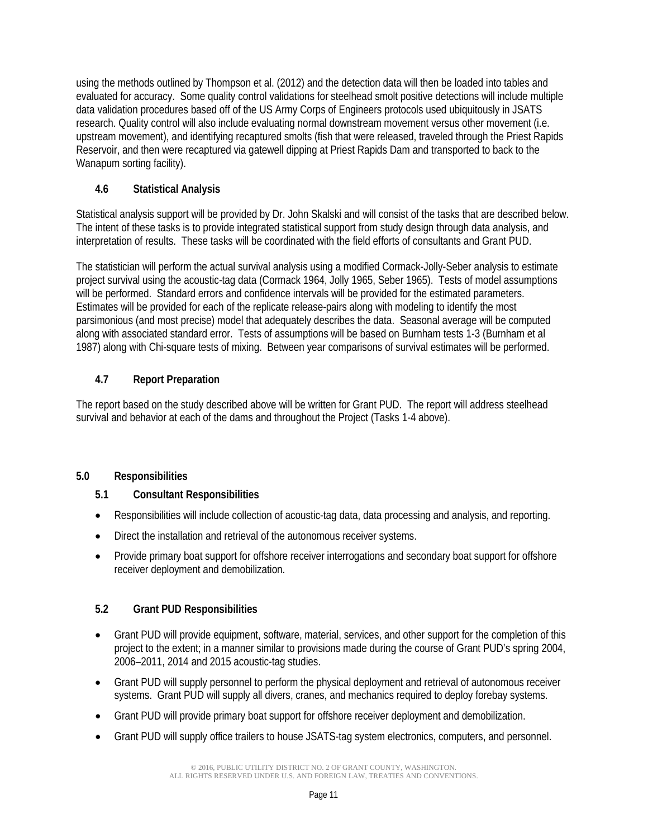using the methods outlined by Thompson et al. (2012) and the detection data will then be loaded into tables and evaluated for accuracy. Some quality control validations for steelhead smolt positive detections will include multiple data validation procedures based off of the US Army Corps of Engineers protocols used ubiquitously in JSATS research. Quality control will also include evaluating normal downstream movement versus other movement (i.e. upstream movement), and identifying recaptured smolts (fish that were released, traveled through the Priest Rapids Reservoir, and then were recaptured via gatewell dipping at Priest Rapids Dam and transported to back to the Wanapum sorting facility).

# **4.6 Statistical Analysis**

Statistical analysis support will be provided by Dr. John Skalski and will consist of the tasks that are described below. The intent of these tasks is to provide integrated statistical support from study design through data analysis, and interpretation of results. These tasks will be coordinated with the field efforts of consultants and Grant PUD.

The statistician will perform the actual survival analysis using a modified Cormack-Jolly-Seber analysis to estimate project survival using the acoustic-tag data (Cormack 1964, Jolly 1965, Seber 1965). Tests of model assumptions will be performed. Standard errors and confidence intervals will be provided for the estimated parameters. Estimates will be provided for each of the replicate release-pairs along with modeling to identify the most parsimonious (and most precise) model that adequately describes the data. Seasonal average will be computed along with associated standard error. Tests of assumptions will be based on Burnham tests 1-3 (Burnham et al 1987) along with Chi-square tests of mixing. Between year comparisons of survival estimates will be performed.

# **4.7 Report Preparation**

The report based on the study described above will be written for Grant PUD. The report will address steelhead survival and behavior at each of the dams and throughout the Project (Tasks 1-4 above).

# **5.0 Responsibilities**

# **5.1 Consultant Responsibilities**

- Responsibilities will include collection of acoustic-tag data, data processing and analysis, and reporting.
- Direct the installation and retrieval of the autonomous receiver systems.
- Provide primary boat support for offshore receiver interrogations and secondary boat support for offshore receiver deployment and demobilization.

# **5.2 Grant PUD Responsibilities**

- Grant PUD will provide equipment, software, material, services, and other support for the completion of this project to the extent; in a manner similar to provisions made during the course of Grant PUD's spring 2004, 2006–2011, 2014 and 2015 acoustic-tag studies.
- Grant PUD will supply personnel to perform the physical deployment and retrieval of autonomous receiver systems. Grant PUD will supply all divers, cranes, and mechanics required to deploy forebay systems.
- Grant PUD will provide primary boat support for offshore receiver deployment and demobilization.
- Grant PUD will supply office trailers to house JSATS-tag system electronics, computers, and personnel.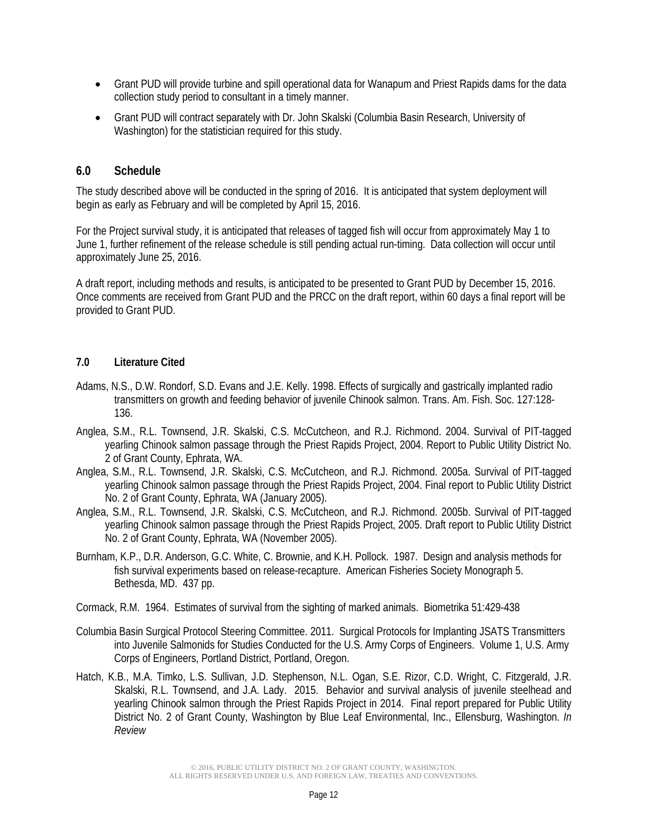- Grant PUD will provide turbine and spill operational data for Wanapum and Priest Rapids dams for the data collection study period to consultant in a timely manner.
- Grant PUD will contract separately with Dr. John Skalski (Columbia Basin Research, University of Washington) for the statistician required for this study.

## **6.0 Schedule**

The study described above will be conducted in the spring of 2016. It is anticipated that system deployment will begin as early as February and will be completed by April 15, 2016.

For the Project survival study, it is anticipated that releases of tagged fish will occur from approximately May 1 to June 1, further refinement of the release schedule is still pending actual run-timing. Data collection will occur until approximately June 25, 2016.

A draft report, including methods and results, is anticipated to be presented to Grant PUD by December 15, 2016. Once comments are received from Grant PUD and the PRCC on the draft report, within 60 days a final report will be provided to Grant PUD.

#### **7.0 Literature Cited**

- Adams, N.S., D.W. Rondorf, S.D. Evans and J.E. Kelly. 1998. Effects of surgically and gastrically implanted radio transmitters on growth and feeding behavior of juvenile Chinook salmon. Trans. Am. Fish. Soc. 127:128- 136.
- Anglea, S.M., R.L. Townsend, J.R. Skalski, C.S. McCutcheon, and R.J. Richmond. 2004. Survival of PIT-tagged yearling Chinook salmon passage through the Priest Rapids Project, 2004. Report to Public Utility District No. 2 of Grant County, Ephrata, WA.
- Anglea, S.M., R.L. Townsend, J.R. Skalski, C.S. McCutcheon, and R.J. Richmond. 2005a. Survival of PIT-tagged yearling Chinook salmon passage through the Priest Rapids Project, 2004. Final report to Public Utility District No. 2 of Grant County, Ephrata, WA (January 2005).
- Anglea, S.M., R.L. Townsend, J.R. Skalski, C.S. McCutcheon, and R.J. Richmond. 2005b. Survival of PIT-tagged yearling Chinook salmon passage through the Priest Rapids Project, 2005. Draft report to Public Utility District No. 2 of Grant County, Ephrata, WA (November 2005).
- Burnham, K.P., D.R. Anderson, G.C. White, C. Brownie, and K.H. Pollock. 1987. Design and analysis methods for fish survival experiments based on release-recapture. American Fisheries Society Monograph 5. Bethesda, MD. 437 pp.
- Cormack, R.M. 1964. Estimates of survival from the sighting of marked animals. Biometrika 51:429-438
- Columbia Basin Surgical Protocol Steering Committee. 2011. Surgical Protocols for Implanting JSATS Transmitters into Juvenile Salmonids for Studies Conducted for the U.S. Army Corps of Engineers. Volume 1, U.S. Army Corps of Engineers, Portland District, Portland, Oregon.
- Hatch, K.B., M.A. Timko, L.S. Sullivan, J.D. Stephenson, N.L. Ogan, S.E. Rizor, C.D. Wright, C. Fitzgerald, J.R. Skalski, R.L. Townsend, and J.A. Lady. 2015. Behavior and survival analysis of juvenile steelhead and yearling Chinook salmon through the Priest Rapids Project in 2014. Final report prepared for Public Utility District No. 2 of Grant County, Washington by Blue Leaf Environmental, Inc., Ellensburg, Washington. *In Review*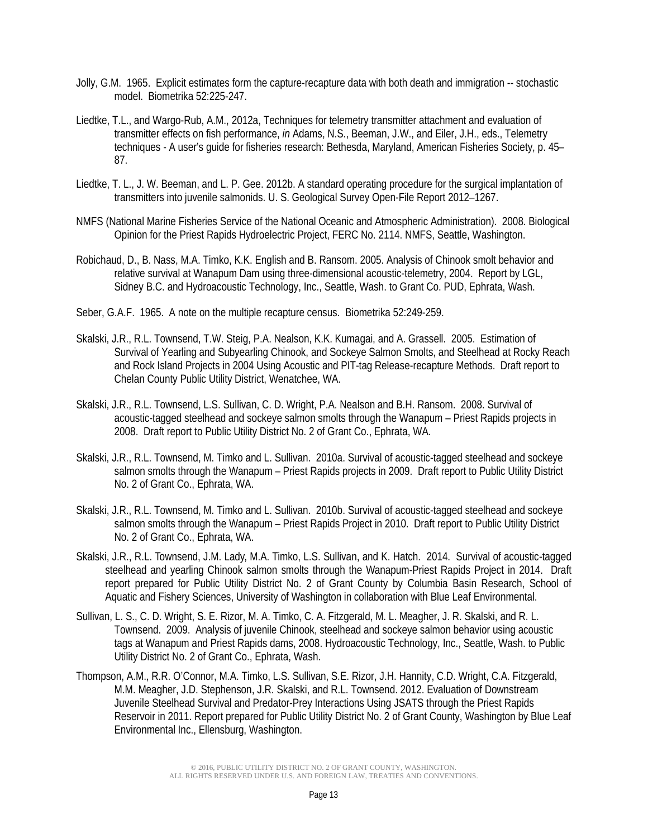- Jolly, G.M. 1965. Explicit estimates form the capture-recapture data with both death and immigration -- stochastic model. Biometrika 52:225-247.
- Liedtke, T.L., and Wargo-Rub, A.M., 2012a, Techniques for telemetry transmitter attachment and evaluation of transmitter effects on fish performance, *in* Adams, N.S., Beeman, J.W., and Eiler, J.H., eds., Telemetry techniques - A user's guide for fisheries research: Bethesda, Maryland, American Fisheries Society, p. 45– 87.
- Liedtke, T. L., J. W. Beeman, and L. P. Gee. 2012b. A standard operating procedure for the surgical implantation of transmitters into juvenile salmonids. U. S. Geological Survey Open-File Report 2012–1267.
- NMFS (National Marine Fisheries Service of the National Oceanic and Atmospheric Administration). 2008. Biological Opinion for the Priest Rapids Hydroelectric Project, FERC No. 2114. NMFS, Seattle, Washington.
- Robichaud, D., B. Nass, M.A. Timko, K.K. English and B. Ransom. 2005. Analysis of Chinook smolt behavior and relative survival at Wanapum Dam using three-dimensional acoustic-telemetry, 2004. Report by LGL, Sidney B.C. and Hydroacoustic Technology, Inc., Seattle, Wash. to Grant Co. PUD, Ephrata, Wash.
- Seber, G.A.F. 1965. A note on the multiple recapture census. Biometrika 52:249-259.
- Skalski, J.R., R.L. Townsend, T.W. Steig, P.A. Nealson, K.K. Kumagai, and A. Grassell. 2005. Estimation of Survival of Yearling and Subyearling Chinook, and Sockeye Salmon Smolts, and Steelhead at Rocky Reach and Rock Island Projects in 2004 Using Acoustic and PIT-tag Release-recapture Methods. Draft report to Chelan County Public Utility District, Wenatchee, WA.
- Skalski, J.R., R.L. Townsend, L.S. Sullivan, C. D. Wright, P.A. Nealson and B.H. Ransom. 2008. Survival of acoustic-tagged steelhead and sockeye salmon smolts through the Wanapum – Priest Rapids projects in 2008. Draft report to Public Utility District No. 2 of Grant Co., Ephrata, WA.
- Skalski, J.R., R.L. Townsend, M. Timko and L. Sullivan. 2010a. Survival of acoustic-tagged steelhead and sockeye salmon smolts through the Wanapum - Priest Rapids projects in 2009. Draft report to Public Utility District No. 2 of Grant Co., Ephrata, WA.
- Skalski, J.R., R.L. Townsend, M. Timko and L. Sullivan. 2010b. Survival of acoustic-tagged steelhead and sockeye salmon smolts through the Wanapum - Priest Rapids Project in 2010. Draft report to Public Utility District No. 2 of Grant Co., Ephrata, WA.
- Skalski, J.R., R.L. Townsend, J.M. Lady, M.A. Timko, L.S. Sullivan, and K. Hatch. 2014. Survival of acoustic-tagged steelhead and yearling Chinook salmon smolts through the Wanapum-Priest Rapids Project in 2014. Draft report prepared for Public Utility District No. 2 of Grant County by Columbia Basin Research, School of Aquatic and Fishery Sciences, University of Washington in collaboration with Blue Leaf Environmental.
- Sullivan, L. S., C. D. Wright, S. E. Rizor, M. A. Timko, C. A. Fitzgerald, M. L. Meagher, J. R. Skalski, and R. L. Townsend. 2009. Analysis of juvenile Chinook, steelhead and sockeye salmon behavior using acoustic tags at Wanapum and Priest Rapids dams, 2008. Hydroacoustic Technology, Inc., Seattle, Wash. to Public Utility District No. 2 of Grant Co., Ephrata, Wash.
- Thompson, A.M., R.R. O'Connor, M.A. Timko, L.S. Sullivan, S.E. Rizor, J.H. Hannity, C.D. Wright, C.A. Fitzgerald, M.M. Meagher, J.D. Stephenson, J.R. Skalski, and R.L. Townsend. 2012. Evaluation of Downstream Juvenile Steelhead Survival and Predator-Prey Interactions Using JSATS through the Priest Rapids Reservoir in 2011. Report prepared for Public Utility District No. 2 of Grant County, Washington by Blue Leaf Environmental Inc., Ellensburg, Washington.